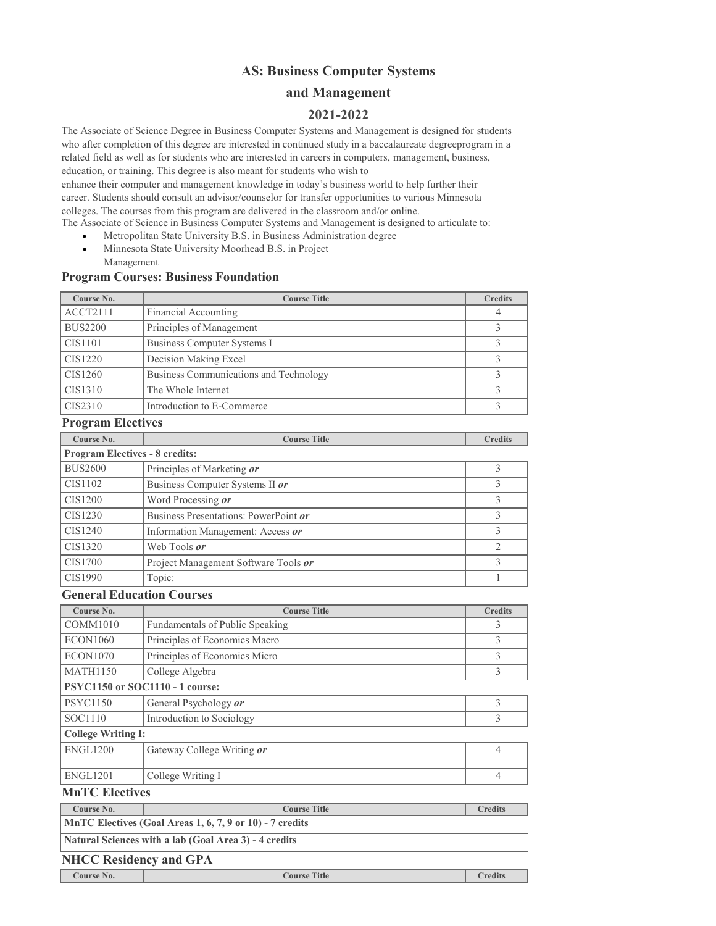# **AS: Business Computer Systems**

# **and Management**

# **2021-2022**

The Associate of Science Degree in Business Computer Systems and Management is designed for students who after completion of this degree are interested in continued study in a baccalaureate degreeprogram in a related field as well as for students who are interested in careers in computers, management, business, education, or training. This degree is also meant for students who wish to enhance their computer and management knowledge in today's business world to help further their

career. Students should consult an advisor/counselor for transfer opportunities to various Minnesota colleges. The courses from this program are delivered in the classroom and/or online.

The Associate of Science in Business Computer Systems and Management is designed to articulate to:

- Metropolitan State University B.S. in Business Administration degree
- Minnesota State University Moorhead B.S. in Project Management

### **Program Courses: Business Foundation**

| Course No.                                               | <b>Course Title</b>                    | <b>Credits</b> |
|----------------------------------------------------------|----------------------------------------|----------------|
| ACCT2111                                                 | Financial Accounting                   | 4              |
| <b>BUS2200</b>                                           | Principles of Management               | 3              |
| CIS1101                                                  | <b>Business Computer Systems I</b>     | 3              |
| CIS1220                                                  | Decision Making Excel                  | $\mathfrak{Z}$ |
| CIS1260                                                  | Business Communications and Technology | 3              |
| CIS1310                                                  | The Whole Internet                     | 3              |
| CIS2310                                                  | Introduction to E-Commerce             | 3              |
| <b>Program Electives</b>                                 |                                        |                |
| Course No.                                               | <b>Course Title</b>                    | <b>Credits</b> |
| <b>Program Electives - 8 credits:</b>                    |                                        |                |
| <b>BUS2600</b>                                           | Principles of Marketing or             | 3              |
| CIS1102                                                  | Business Computer Systems II or        | $\mathfrak{Z}$ |
| <b>CIS1200</b>                                           | Word Processing or                     | 3              |
| CIS1230                                                  | Business Presentations: PowerPoint or  | 3              |
| CIS1240                                                  | Information Management: Access or      | 3              |
| CIS1320                                                  | Web Tools or                           | $\overline{2}$ |
| CIS1700                                                  | Project Management Software Tools or   | 3              |
| CIS1990                                                  | Topic:                                 | $\mathbf{1}$   |
| <b>General Education Courses</b>                         |                                        |                |
| Course No.                                               | <b>Course Title</b>                    | <b>Credits</b> |
| COMM1010                                                 | Fundamentals of Public Speaking        | 3              |
| <b>ECON1060</b>                                          | Principles of Economics Macro          | 3              |
| <b>ECON1070</b>                                          | Principles of Economics Micro          | 3              |
| <b>MATH1150</b>                                          | College Algebra                        | 3              |
| PSYC1150 or SOC1110 - 1 course:                          |                                        |                |
| <b>PSYC1150</b>                                          | General Psychology or                  | $\mathfrak{Z}$ |
| SOC1110                                                  | Introduction to Sociology              | 3              |
| <b>College Writing I:</b>                                |                                        |                |
| <b>ENGL1200</b>                                          | Gateway College Writing or             | $\overline{4}$ |
| <b>ENGL1201</b>                                          | College Writing I                      | $\overline{4}$ |
| <b>MnTC</b> Electives                                    |                                        |                |
| Course No.                                               | <b>Course Title</b>                    | <b>Credits</b> |
| MnTC Electives (Goal Areas 1, 6, 7, 9 or 10) - 7 credits |                                        |                |

**Natural Sciences with a lab (Goal Area 3) - 4 credits**

## **NHCC Residency and GPA**

**Course No. Course No. Course Title Course I Credits**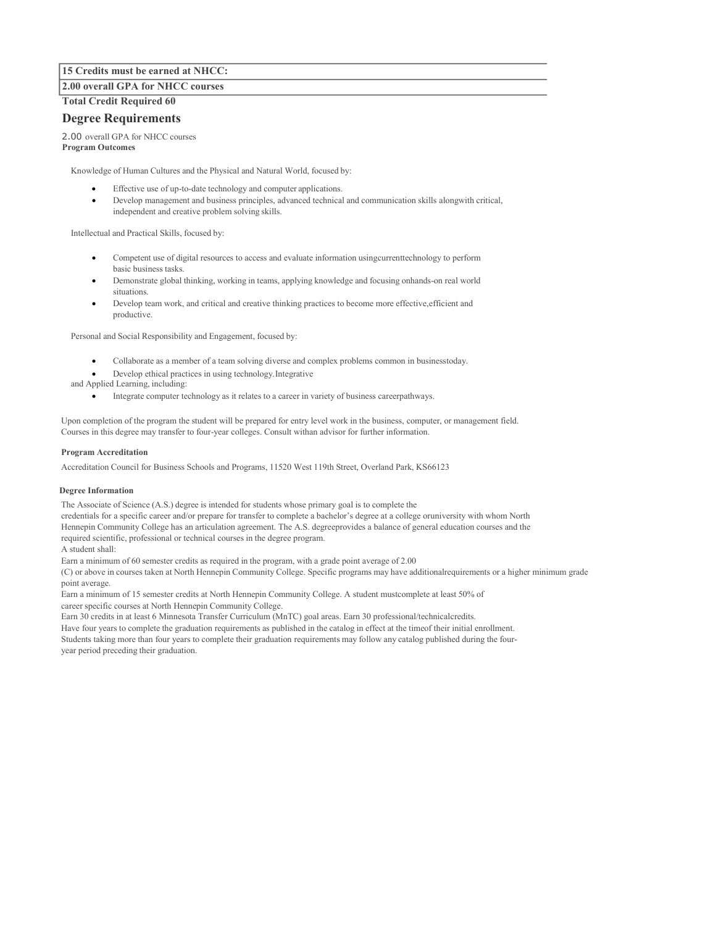### **15 Credits must be earned at NHCC:**

#### **2.00 overall GPA for NHCC courses**

**Total Credit Required 60**

### **Degree Requirements**

2.00 overall GPA for NHCC courses **Program Outcomes**

Knowledge of Human Cultures and the Physical and Natural World, focused by:

- Effective use of up-to-date technology and computer applications.
- Develop management and business principles, advanced technical and communication skills alongwith critical, independent and creative problem solving skills.

Intellectual and Practical Skills, focused by:

- Competent use of digital resources to access and evaluate information usingcurrenttechnology to perform basic business tasks.
- Demonstrate global thinking, working in teams, applying knowledge and focusing onhands-on real world situations.
- Develop team work, and critical and creative thinking practices to become more effective,efficient and productive.

Personal and Social Responsibility and Engagement, focused by:

- Collaborate as a member of a team solving diverse and complex problems common in businesstoday.
- Develop ethical practices in using technology.Integrative
- and Applied Learning, including:
	- Integrate computer technology as it relates to a career in variety of business careerpathways.

Upon completion of the program the student will be prepared for entry level work in the business, computer, or management field. Courses in this degree may transfer to four-year colleges. Consult withan advisor for further information.

#### **Program Accreditation**

Accreditation Council for Business Schools and Programs, 11520 West 119th Street, Overland Park, KS66123

#### **Degree Information**

The Associate of Science (A.S.) degree is intended for students whose primary goal is to complete the credentials for a specific career and/or prepare for transfer to complete a bachelor's degree at a college oruniversity with whom North Hennepin Community College has an articulation agreement. The A.S. degreeprovides a balance of general education courses and the required scientific, professional or technical courses in the degree program. A student shall:

Earn a minimum of 60 semester credits as required in the program, with a grade point average of 2.00

(C) or above in courses taken at North Hennepin Community College. Specific programs may have additionalrequirements or a higher minimum grade point average.

Earn a minimum of 15 semester credits at North Hennepin Community College. A student mustcomplete at least 50% of career specific courses at North Hennepin Community College.

Earn 30 credits in at least 6 Minnesota Transfer Curriculum (MnTC) goal areas. Earn 30 professional/technicalcredits.

Have four years to complete the graduation requirements as published in the catalog in effect at the timeof their initial enrollment. Students taking more than four years to complete their graduation requirements may follow any catalog published during the fouryear period preceding their graduation.